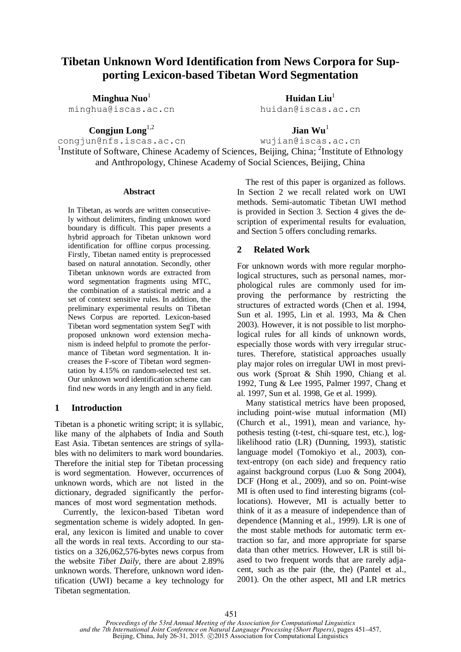# **Tibetan Unknown Word Identification from News Corpora for Supporting Lexicon-based Tibetan Word Segmentation**

**Minghua Nuo**<sup>1</sup> minghua@iscas.ac.cn

**Congjun Long**1,2

**Huidan Liu**<sup>1</sup> huidan@iscas.ac.cn

**Jian Wu**<sup>1</sup>

congjun@nfs.iscas.ac.cn wujian@iscas.ac.cn <sup>1</sup>Institute of Software, Chinese Academy of Sciences, Beijing, China; <sup>2</sup>Institute of Ethnology and Anthropology, Chinese Academy of Social Sciences, Beijing, China

#### **Abstract**

In Tibetan, as words are written consecutively without delimiters, finding unknown word boundary is difficult. This paper presents a hybrid approach for Tibetan unknown word identification for offline corpus processing. Firstly, Tibetan named entity is preprocessed based on natural annotation. Secondly, other Tibetan unknown words are extracted from word segmentation fragments using MTC, the combination of a statistical metric and a set of context sensitive rules. In addition, the preliminary experimental results on Tibetan News Corpus are reported. Lexicon-based Tibetan word segmentation system SegT with proposed unknown word extension mechanism is indeed helpful to promote the performance of Tibetan word segmentation. It increases the F-score of Tibetan word segmentation by 4.15% on random-selected test set. Our unknown word identification scheme can find new words in any length and in any field.

### **1 Introduction**

Tibetan is a phonetic writing script; it is syllabic, like many of the alphabets of India and South East Asia. Tibetan sentences are strings of syllables with no delimiters to mark word boundaries. Therefore the initial step for Tibetan processing is word segmentation. However, occurrences of unknown words, which are not listed in the dictionary, degraded significantly the performances of most word segmentation methods.

Currently, the lexicon-based Tibetan word segmentation scheme is widely adopted. In general, any lexicon is limited and unable to cover all the words in real texts. According to our statistics on a 326,062,576-bytes news corpus from the website *Tibet Daily,* there are about 2.89% unknown words. Therefore, unknown word identification (UWI) became a key technology for Tibetan segmentation.

The rest of this paper is organized as follows. In Section 2 we recall related work on UWI methods. Semi-automatic Tibetan UWI method is provided in Section 3. Section 4 gives the description of experimental results for evaluation, and Section 5 offers concluding remarks.

# **2 Related Work**

For unknown words with more regular morphological structures, such as personal names, morphological rules are commonly used for improving the performance by restricting the structures of extracted words (Chen et al. 1994, Sun et al. 1995, Lin et al. 1993, Ma & Chen 2003). However, it is not possible to list morphological rules for all kinds of unknown words, especially those words with very irregular structures. Therefore, statistical approaches usually play major roles on irregular UWI in most previous work (Sproat & Shih 1990, Chiang et al. 1992, Tung & Lee 1995, Palmer 1997, Chang et al. 1997, Sun et al. 1998, Ge et al. 1999).

Many statistical metrics have been proposed, including point-wise mutual information (MI) (Church et al., 1991), mean and variance, hypothesis testing (t-test, chi-square test, etc.), loglikelihood ratio (LR) (Dunning, 1993), statistic language model (Tomokiyo et al., 2003), context-entropy (on each side) and frequency ratio against background corpus (Luo & Song 2004), DCF (Hong et al., 2009), and so on. Point-wise MI is often used to find interesting bigrams (collocations). However, MI is actually better to think of it as a measure of independence than of dependence (Manning et al., 1999). LR is one of the most stable methods for automatic term extraction so far, and more appropriate for sparse data than other metrics. However, LR is still biased to two frequent words that are rarely adjacent, such as the pair (the, the) (Pantel et al., 2001). On the other aspect, MI and LR metrics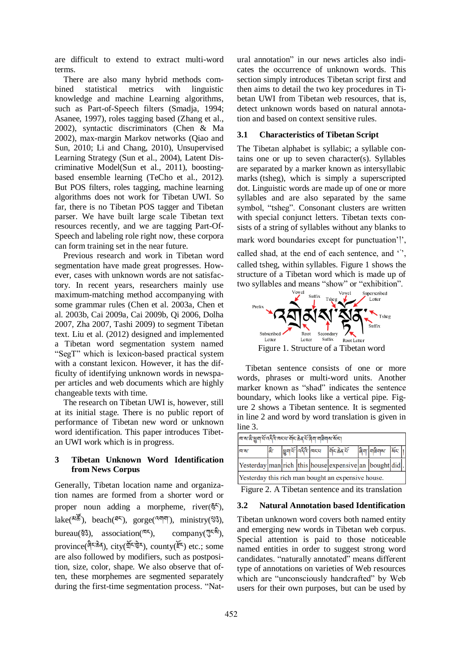are difficult to extend to extract multi-word terms.

There are also many hybrid methods combined statistical metrics with linguistic knowledge and machine Learning algorithms, such as Part-of-Speech filters (Smadja, 1994; Asanee, 1997), roles tagging based (Zhang et al., 2002), syntactic discriminators (Chen & Ma 2002), max-margin Markov networks (Qiao and Sun, 2010; Li and Chang, 2010), Unsupervised Learning Strategy (Sun et al., 2004), Latent Discriminative Model(Sun et al., 2011), boostingbased ensemble learning (TeCho et al., 2012). But POS filters, roles tagging, machine learning algorithms does not work for Tibetan UWI. So far, there is no Tibetan POS tagger and Tibetan parser. We have built large scale Tibetan text resources recently, and we are tagging Part-Of-Speech and labeling role right now, these corpora can form training set in the near future.

Previous research and work in Tibetan word segmentation have made great progresses. However, cases with unknown words are not satisfactory. In recent years, researchers mainly use maximum-matching method accompanying with some grammar rules (Chen et al. 2003a, Chen et al. 2003b, Cai 2009a, Cai 2009b, Qi 2006, Dolha 2007, Zha 2007, Tashi 2009) to segment Tibetan text. Liu et al. (2012) designed and implemented a Tibetan word segmentation system named "SegT" which is lexicon-based practical system with a constant lexicon. However, it has the difficulty of identifying unknown words in newspaper articles and web documents which are highly changeable texts with time.

The research on Tibetan UWI is, however, still at its initial stage. There is no public report of performance of Tibetan new word or unknown word identification. This paper introduces Tibetan UWI work which is in progress.

# **3 Tibetan Unknown Word Identification from News Corpus**

Generally, Tibetan location name and organization names are formed from a shorter word or proper noun adding a morpheme, river( $\frac{25}{3}$ ), lake( $\delta(\mathbf{A}^{\mathbf{r}})$ , beach( $\mathbf{I}^{[\mathbf{r}]}$ ), gorge( $\mathbf{A}^{[\mathbf{r}]}$ ), ministry( $\mathbf{I}^{[\mathbf{r}]}$ ), bureau( $\mathcal{F}_3$ ), association( $\mathbb{R}^5$ ), company( $\mathbb{R}^5$ ), province( $\frac{\partial \hat{\mathbf{g}}}{\partial \hat{\mathbf{s}}}$ , city( $\frac{\partial \hat{\mathbf{g}}}{\partial \hat{\mathbf{s}}}$ ), county( $\tilde{\mathbf{f}}$ ) etc.; some are also followed by modifiers, such as postposition, size, color, shape. We also observe that often, these morphemes are segmented separately during the first-time segmentation process. "Natural annotation" in our news articles also indicates the occurrence of unknown words. This section simply introduces Tibetan script first and then aims to detail the two key procedures in Tibetan UWI from Tibetan web resources, that is, detect unknown words based on natural annotation and based on context sensitive rules.

### **3.1 Characteristics of Tibetan Script**

The Tibetan alphabet is syllabic; a syllable contains one or up to seven character(s). Syllables are separated by a marker known as intersyllabic marks (tsheg), which is simply a superscripted dot. Linguistic words are made up of one or more syllables and are also separated by the same symbol, "tsheg". Consonant clusters are written with special conjunct letters. Tibetan texts consists of a string of syllables without any blanks to mark word boundaries except for punctuation'', called shad, at the end of each sentence, and " called tsheg, within syllables. Figure 1 shows the structure of a Tibetan word which is made up of two syllables and means "show" or "exhibition".



Tibetan sentence consists of one or more words, phrases or multi-word units. Another marker known as "shad" indicates the sentence boundary, which looks like a vertical pipe. Figure 2 shows a Tibetan sentence. It is segmented in line 2 and word by word translation is given in line 3.

| व्या असे छुवा सेंग्वर्दैविजयस्य में स्टेड क्यों बिया यात्रिया असेन्या |  |  |  |  |                                                                                                                                                                                                                                                                                                                                  |  |  |  |  |
|-----------------------------------------------------------------------|--|--|--|--|----------------------------------------------------------------------------------------------------------------------------------------------------------------------------------------------------------------------------------------------------------------------------------------------------------------------------------|--|--|--|--|
| <b>A'W'</b>                                                           |  |  |  |  | $\left  \mathbf{g} - \mathbf{g} \right $ $\left  \mathbf{g} \right $ $\left  \mathbf{g} \right $ $\left  \mathbf{g} \right $ $\left  \mathbf{g} \right $ $\left  \mathbf{g} \right $ $\left  \mathbf{g} \right $ $\left  \mathbf{g} \right $ $\left  \mathbf{g} \right $ $\left  \mathbf{g} \right $ $\left  \mathbf{g} \right $ |  |  |  |  |
|                                                                       |  |  |  |  | Yesterday man rich this house expensive an bought did.                                                                                                                                                                                                                                                                           |  |  |  |  |
| Yesterday this rich man bought an expensive house.                    |  |  |  |  |                                                                                                                                                                                                                                                                                                                                  |  |  |  |  |

Figure 2. A Tibetan sentence and its translation

# **3.2 Natural Annotation based Identification**

Tibetan unknown word covers both named entity and emerging new words in Tibetan web corpus. Special attention is paid to those noticeable named entities in order to suggest strong word candidates. "naturally annotated" means different type of annotations on varieties of Web resources which are "unconsciously handcrafted" by Web users for their own purposes, but can be used by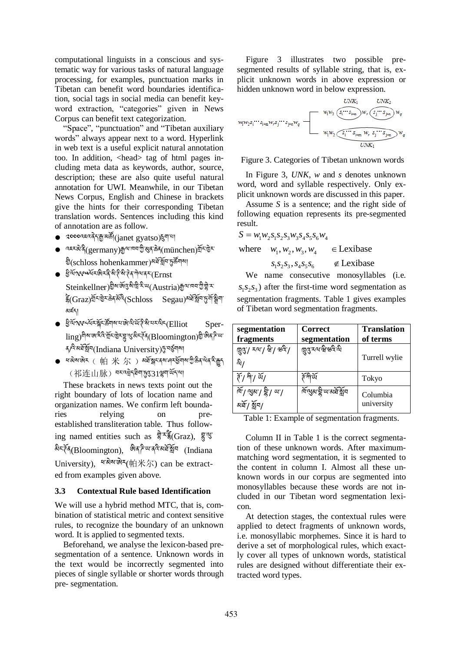computational linguists in a conscious and systematic way for various tasks of natural language processing, for examples, punctuation marks in Tibetan can benefit word boundaries identification, social tags in social media can benefit keyword extraction, "categories" given in News Corpus can benefit text categorization.

"Space", "punctuation" and "Tibetan auxiliary words" always appear next to a word. Hyperlink in web text is a useful explicit natural annotation too. In addition, <head> tag of html pages including meta data as keywords, author, source, description; these are also quite useful natural annotation for UWI. Meanwhile, in our Tibetan News Corpus, English and Chinese in brackets give the hints for their corresponding Tibetan translation words. Sentences including this kind of annotation are as follow.

- ༢༠༠༠འཇའ་ ད་ ་མ །(janet gyatso) ག་པ།
- $\bullet$  व्ह्य अप्रै (germany) अथानवा गुरु अब के  $\sigma$  (m ünchen ) येनि छिन् ষ্ট<br>(schloss hohenkammer)མ স্বর্স্কুনদ্রইনমা
- $\bullet$  ईे गेंगर स्पर्ये रखे र दे से ते से ते द गोय दर (Ernst Steinkellner) খ্রীমার্জান্ত্রমীদ্রী <sup>ই: অ</sup>(Austria) ক্রুমানন খ্রী শ্লী ম  $\widetilde{\tilde{\xi}}(\text{Graz})^{\widetilde{\mathfrak{A}} \times \widetilde{\mathfrak{G}}}$ देशके $\widetilde{\mathfrak{A}}^{\widetilde{\mathfrak{A}}}(\text{Schloss} \quad \text{Segau})$ अर्थ श्लेम कुम མཛད།
- $\bullet$  ईेलॅंग्टर स्टॅं इंड्रॅं कार्या अप्रै से संस्कृति (Elliot Sperling) गेड़ा अर्थ देखें में दक्ष रह सुरक्ष दर्द (Bloomington) के अर्थ देख ব/<sup>বি: রা</sup>র্মীম(Indiana University) দূর্ঘর্ষণ
- শন্ত্রমাজীয় ( 帕 米 尔 ) অর্ধ্রন্থান বর্ষ ক্রমাণ্টি ক্রীয় ক্রীয় ক্রীয় ক্রীয় ক্রীয় ক্রীয় ক্রীয় ক্রীয় ক্রীয় ক (祁连山脉) བར་འསྲེད রੈག་དུ་རུ་ <mark>ད</mark>་ ལྲུག་ ལོད་ལ།

These brackets in news texts point out the right boundary of lots of location name and organization names. We confirm left boundaries relying on preestablished transliteration table. Thus following named entities such as  $\frac{2}{3}$ <sup> $\frac{1}{3}$ </sup>§<sup>(Graz)</sup>,  $\frac{2}{3}$ མིང་ཊོན(Bloomington), ཨིན་ཌི་ཡ་ནའི་མཐོ་སློབ (Indiana University), यहोड़ अर्थ (帕米尔) can be extracted from examples given above.

### **3.3 Contextual Rule based Identification**

We will use a hybrid method MTC, that is, combination of statistical metric and context sensitive rules, to recognize the boundary of an unknown word. It is applied to segmented texts.

Beforehand, we analyse the lexicon-based presegmentation of a sentence. Unknown words in the text would be incorrectly segmented into pieces of single syllable or shorter words through pre- segmentation.

Figure 3 illustrates two possible presegmented results of syllable string, that is, explicit unknown words in above expression or hidden unknown word in below expression.



Figure 3. Categories of Tibetan unknown words

In Figure 3, *UNK*, *w* and *s* denotes unknown word, word and syllable respectively. Only explicit unknown words are discussed in this paper.

Assume *S* is a sentence; and the right side of following equation represents its pre-segmented result.

result.  
\n
$$
S = w_1 w_2 s_1 s_2 s_3 w_3 s_4 s_5 s_6 w_4
$$

 $S = w_1 w_2 s_1 s_2 s_3 w_3 s_4 s_5 s_6 w_4$ <br>where  $w_1, w_2, w_3, w_4 \in$  Lexibase where  $w_1, w_2, w_3, w_4 \in$  Lexibase<br> $s_1 s_2 s_3, s_4 s_5 s_6 \notin$  Lexibase  $\in$  Lexibase

We name consecutive monosyllables (i.e.  $s<sub>1</sub>s<sub>2</sub>s<sub>3</sub>$ ) after the first-time word segmentation as segmentation fragments. Table 1 gives examples of Tibetan word segmentation fragments.

| segmentation                                 | Correct                    | <b>Translation</b>     |
|----------------------------------------------|----------------------------|------------------------|
| fragments                                    | segmentation               | of terms               |
| हिंदी ४जी मु. मधुरी<br>షి/                   | দ্ভুব্ত হয় শ্ৰীন্দ্ৰবিক্ষ | Turrell wylie          |
| $\widetilde{\pi}$ / गी'/ $\widetilde{\pi}$ / | र्ते गो यें                | Tokyo                  |
| া । এখ <b>া দু</b><br>থমূ্\ খ্যু্µ           | শিশুৰা হ্ৰী অ'ৰাষ্ট্ৰী বি  | Columbia<br>university |

Table 1: Example of segmentation fragments.

Column II in Table 1 is the correct segmentation of these unknown words. After maximummatching word segmentation, it is segmented to the content in column I. Almost all these unknown words in our corpus are segmented into monosyllables because these words are not included in our Tibetan word segmentation lexicon.

At detection stages, the contextual rules were applied to detect fragments of unknown words, i.e. monosyllabic morphemes. Since it is hard to derive a set of morphological rules, which exactly cover all types of unknown words, statistical rules are designed without differentiate their extracted word types.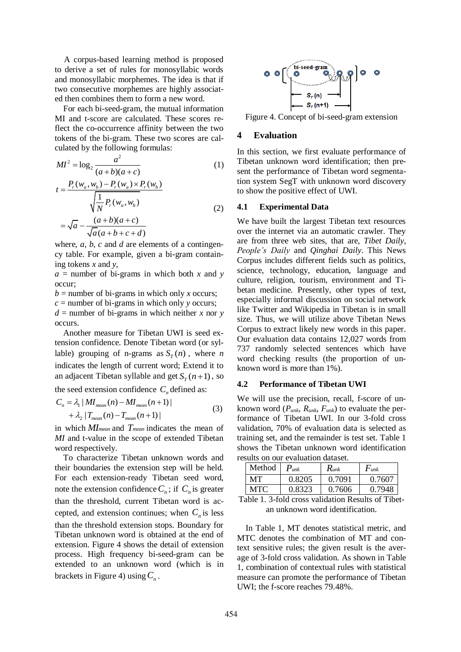A corpus-based learning method is proposed to derive a set of rules for monosyllabic words and monosyllabic morphemes. The idea is that if two consecutive morphemes are highly associated then combines them to form a new word.

For each bi-seed-gram, the mutual information MI and t-score are calculated. These scores reflect the co-occurrence affinity between the two tokens of the bi-gram. These two scores are calculated by the following formulas:

$$
MI^{2} = \log_{2} \frac{a^{2}}{(a+b)(a+c)}
$$
 (1)

$$
t = \frac{P_r(w_a, w_b) - P_r(w_a) \times P_r(w_b)}{\sqrt{\frac{1}{N} P_r(w_a, w_b)}}
$$
  
=  $\sqrt{a} - \frac{(a+b)(a+c)}{\sqrt{a(a+b+c+d)}}$  (2)

where, *a*, *b*, *c* and *d* are elements of a contingency table. For example, given a bi-gram containing tokens *x* and *y*,

 $a =$  number of bi-grams in which both x and y occur;

 $b =$  number of bi-grams in which only *x* occurs;

*c* = number of bi-grams in which only *y* occurs;

 $d =$  number of bi-grams in which neither *x* nor *y* occurs.

Another measure for Tibetan UWI is seed extension confidence. Denote Tibetan word (or syllable) grouping of n-grams as  $S_T(n)$ , where *n* indicates the length of current word; Extend it to an adjacent Tibetan syllable and get  $S_T(n+1)$ , so

the seed extension confidence 
$$
C_n
$$
 defined as:  
\n
$$
C_n = \lambda_1 |MI_{mean}(n) - MI_{mean}(n+1)| + \lambda_2 |T_{mean}(n) - T_{mean}(n+1)|
$$
\n(3)

in which *MImean* and *Tmean* indicates the mean of *MI* and t-value in the scope of extended Tibetan word respectively.

To characterize Tibetan unknown words and their boundaries the extension step will be held. For each extension-ready Tibetan seed word, note the extension confidence  $C_n$ ; if  $C_n$  is greater than the threshold, current Tibetan word is accepted, and extension continues; when  $C_n$  is less than the threshold extension stops. Boundary for Tibetan unknown word is obtained at the end of extension. Figure 4 shows the detail of extension process. High frequency bi-seed-gram can be extended to an unknown word (which is in brackets in Figure 4) using  $C_n$ .



Figure 4. Concept of bi-seed-gram extension

#### **4 Evaluation**

In this section, we first evaluate performance of Tibetan unknown word identification; then present the performance of Tibetan word segmentation system SegT with unknown word discovery to show the positive effect of UWI.

#### **4.1 Experimental Data**

We have built the largest Tibetan text resources over the internet via an automatic crawler. They are from three web sites, that are, *Tibet Daily*, *People's Daily* and *Qinghai Daily*. This News Corpus includes different fields such as politics, science, technology, education, language and culture, religion, tourism, environment and Tibetan medicine. Presently, other types of text, especially informal discussion on social network like Twitter and Wikipedia in Tibetan is in small size. Thus, we will utilize above Tibetan News Corpus to extract likely new words in this paper. Our evaluation data contains 12,027 words from 737 randomly selected sentences which have word checking results (the proportion of unknown word is more than 1%).

#### **4.2 Performance of Tibetan UWI**

We will use the precision, recall, f-score of unknown word (*Punk*, *Runk*, *Funk*) to evaluate the performance of Tibetan UWI. In our 3-fold cross validation, 70% of evaluation data is selected as training set, and the remainder is test set. Table 1 shows the Tibetan unknown word identification results on our evaluation dataset.

| Method | $P_{unk}$ | $R_{unk}$ | $F_{unk}$ |
|--------|-----------|-----------|-----------|
| MТ     | 0.8205    | 0.7091    | 0.7607    |
| MTC    | 0.8323    | 0.7606    | 0.7948    |

Table 1. 3-fold cross validation Results of Tibetan unknown word identification.

In Table 1, MT denotes statistical metric, and MTC denotes the combination of MT and context sensitive rules; the given result is the average of 3-fold cross validation. As shown in Table 1, combination of contextual rules with statistical measure can promote the performance of Tibetan UWI; the f-score reaches 79.48%.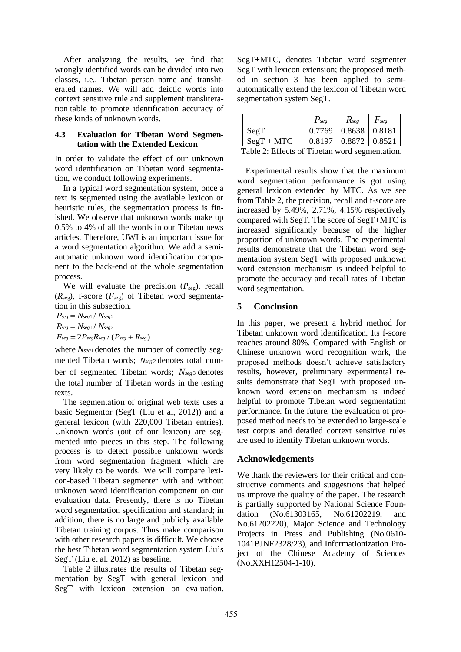After analyzing the results, we find that wrongly identified words can be divided into two classes, i.e., Tibetan person name and transliterated names. We will add deictic words into context sensitive rule and supplement transliteration table to promote identification accuracy of these kinds of unknown words.

#### **4.3 Evaluation for Tibetan Word Segmentation with the Extended Lexicon**

In order to validate the effect of our unknown word identification on Tibetan word segmentation, we conduct following experiments.

In a typical word segmentation system, once a text is segmented using the available lexicon or heuristic rules, the segmentation process is finished. We observe that unknown words make up 0.5% to 4% of all the words in our Tibetan news articles. Therefore, UWI is an important issue for a word segmentation algorithm. We add a semiautomatic unknown word identification component to the back-end of the whole segmentation process.

We will evaluate the precision  $(P_{seg})$ , recall  $(R_{seg})$ , f-score  $(F_{seg})$  of Tibetan word segmentation in this subsection.

 $P_{seg} = N_{seg1} / N_{seg2}$  $R_{seg} = N_{seg1} / N_{seg3}$  $F_{seg} = 2P_{seg}R_{seg} / (P_{seg} + R_{seg})$ 

where *Nseg*<sup>1</sup> denotes the number of correctly segmented Tibetan words; *Nseg* <sup>2</sup> denotes total number of segmented Tibetan words; *Nseg*<sup>3</sup> denotes the total number of Tibetan words in the testing texts.

The segmentation of original web texts uses a basic Segmentor (SegT (Liu et al, 2012)) and a general lexicon (with 220,000 Tibetan entries). Unknown words (out of our lexicon) are segmented into pieces in this step. The following process is to detect possible unknown words from word segmentation fragment which are very likely to be words. We will compare lexicon-based Tibetan segmenter with and without unknown word identification component on our evaluation data. Presently, there is no Tibetan word segmentation specification and standard; in addition, there is no large and publicly available Tibetan training corpus. Thus make comparison with other research papers is difficult. We choose the best Tibetan word segmentation system Liu's SegT (Liu et al. 2012) as baseline.

Table 2 illustrates the results of Tibetan segmentation by SegT with general lexicon and SegT with lexicon extension on evaluation.

SegT+MTC, denotes Tibetan word segmenter SegT with lexicon extension; the proposed method in section 3 has been applied to semiautomatically extend the lexicon of Tibetan word segmentation system SegT.

|                                                | $P_{\text{see}}$                         | $\mathcal{R}_{\text{see}}$ | F <sub>see</sub> |  |  |
|------------------------------------------------|------------------------------------------|----------------------------|------------------|--|--|
| SegT                                           |                                          | $0.7769$   0.8638   0.8181 |                  |  |  |
| $Segr + MTC$                                   | $\vert 0.8197 \vert 0.8872 \vert 0.8521$ |                            |                  |  |  |
| Table 2: Effects of Tibetan word segmentation. |                                          |                            |                  |  |  |

Experimental results show that the maximum word segmentation performance is got using general lexicon extended by MTC. As we see from Table 2, the precision, recall and f-score are increased by 5.49%, 2.71%, 4.15% respectively compared with SegT. The score of SegT+MTC is increased significantly because of the higher proportion of unknown words. The experimental results demonstrate that the Tibetan word segmentation system SegT with proposed unknown word extension mechanism is indeed helpful to promote the accuracy and recall rates of Tibetan word segmentation.

### **5 Conclusion**

In this paper, we present a hybrid method for Tibetan unknown word identification. Its f-score reaches around 80%. Compared with English or Chinese unknown word recognition work, the proposed methods doesn't achieve satisfactory results, however, preliminary experimental results demonstrate that SegT with proposed unknown word extension mechanism is indeed helpful to promote Tibetan word segmentation performance. In the future, the evaluation of proposed method needs to be extended to large-scale test corpus and detailed context sensitive rules are used to identify Tibetan unknown words.

# **Acknowledgements**

We thank the reviewers for their critical and constructive comments and suggestions that helped us improve the quality of the paper. The research is partially supported by National Science Foundation (No.61303165, No.61202219, and No.61202220), Major Science and Technology Projects in Press and Publishing (No.0610- 1041BJNF2328/23), and Informationization Project of the Chinese Academy of Sciences (No.XXH12504-1-10).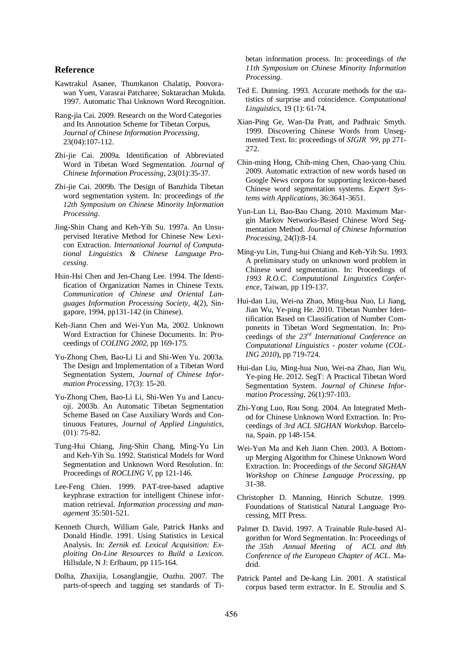#### **Reference**

- Kawtrakul Asanee, Thumkanon Chalatip, Poovorawan Yuen, Varasrai Patcharee, Suktarachan Mukda. 1997. Automatic Thai Unknown Word Recognition.
- Rang-jia Cai. 2009. Research on the Word Categories and Its Annotation Scheme for Tibetan Corpus, *Journal of Chinese Information Processing*, 23(04):107-112.
- Zhi-jie Cai. 2009a. Identification of Abbreviated Word in Tibetan Word Segmentation. *Journal of Chinese Information Processing*, 23(01):35-37.
- Zhi-jie Cai. 2009b. The Design of Banzhida Tibetan word segmentation system. In: proceedings of *the 12th Symposium on Chinese Minority Information Processing*.
- Jing-Shin Chang and Keh-Yih Su. 1997a. An Unsupervised Iterative Method for Chinese New Lexicon Extraction. *International Journal of Computational Linguistics & Chinese Language Processing*.
- Hsin-Hsi Chen and Jen-Chang Lee. 1994. The Identification of Organization Names in Chinese Texts. *Communication of Chinese and Oriental Languages Information Processing Society*, 4(2), Singapore, 1994, pp131-142 (in Chinese).
- Keh-Jiann Chen and Wei-Yun Ma, 2002. Unknown Word Extraction for Chinese Documents. In: Proceedings of *COLING 2002*, pp 169-175.
- Yu-Zhong Chen, Bao-Li Li and Shi-Wen Yu. 2003a. The Design and Implementation of a Tibetan Word Segmentation System, *Journal of Chinese Information Processing*, 17(3): 15-20.
- Yu-Zhong Chen, Bao-Li Li, Shi-Wen Yu and Lancuoji. 2003b. An Automatic Tibetan Segmentation Scheme Based on Case Auxiliary Words and Continuous Features, *Journal of Applied Linguistics*, (01): 75-82.
- Tung-Hui Chiang, Jing-Shin Chang, Ming-Yu Lin and Keh-Yih Su. 1992. Statistical Models for Word Segmentation and Unknown Word Resolution. In: Proceedings of *ROCLING V*, pp 121-146.
- Lee-Feng Chien. 1999. PAT-tree-based adaptive keyphrase extraction for intelligent Chinese information retrieval. *Information processing and management* 35:501-521.
- Kenneth Church, William Gale, Patrick Hanks and Donald Hindle. 1991. Using Statistics in Lexical Analysis. In: *Zernik ed. Lexical Acquisition: Exploiting On-Line Resources to Build a Lexicon*. Hillsdale, N J: Erlbaum, pp 115-164.
- Dolha, Zhaxijia, Losanglangjie, Ouzhu. 2007. The parts-of-speech and tagging set standards of Ti-

betan information process. In: proceedings of *the 11th Symposium on Chinese Minority Information Processing*.

- Ted E. Dunning. 1993. Accurate methods for the statistics of surprise and coincidence. *Computational Linguistics*, 19 (1): 61-74.
- Xian-Ping Ge, Wan-Da Pratt, and Padhraic Smyth. 1999. Discovering Chinese Words from Unsegmented Text. In: proceedings of *SIGIR '99*, pp 271- 272.
- Chin-ming Hong, Chih-ming Chen, Chao-yang Chiu. 2009. Automatic extraction of new words based on Google News corpora for supporting lexicon-based Chinese word segmentation systems. *Expert Systems with Applications*, 36:3641-3651.
- Yun-Lun Li, Bao-Bao Chang. 2010. Maximum Margin Markov Networks-Based Chinese Word Segmentation Method. *Journal of Chinese Information Processing*, 24(l):8-14.
- Ming-yu Lin, Tung-hui Chiang and Keh-Yih Su. 1993. A preliminary study on unknown word problem in Chinese word segmentation. In: Proceedings of *1993 R.O.C. Computational Linguistics Conference*, Taiwan, pp 119-137.
- Hui-dan Liu, Wei-na Zhao, Ming-hua Nuo, Li Jiang, Jian Wu, Ye-ping He. 2010. Tibetan Number Identification Based on Classification of Number Components in Tibetan Word Segmentation. In: Proceedings of *the 23rd International Conference on Computational Linguistics - poster volume* (*COL-ING 2010*), pp 719-724.
- Hui-dan Liu, Ming-hua Nuo, Wei-na Zhao, Jian Wu, Ye-ping He. 2012. SegT: A Practical Tibetan Word Segmentation System. *Journal of Chinese Information Processing*, 26(1):97-103.
- Zhi-Yong Luo, Rou Song. 2004. An Integrated Method for Chinese Unknown Word Extraction. In: Proceedings of *3rd ACL SIGHAN Workshop*. Barcelona, Spain. pp 148-154.
- Wei-Yun Ma and Keh Jiann Chen. 2003. A Bottomup Merging Algorithm for Chinese Unknown Word Extraction. In: Proceedings of *the Second SIGHAN Workshop on Chinese Language Processing*, pp 31-38.
- Christopher D. Manning, Hinrich Schutze. 1999. Foundations of Statistical Natural Language Processing, MIT Press.
- Palmer D. David. 1997. A Trainable Rule-based Algorithm for Word Segmentation. In: Proceedings of *the 35th Annual Meeting of ACL and 8th Conference of the European Chapter of ACL*. Madrid.
- Patrick Pantel and De-kang Lin. 2001. A statistical corpus based term extractor. In E. Stroulia and S.